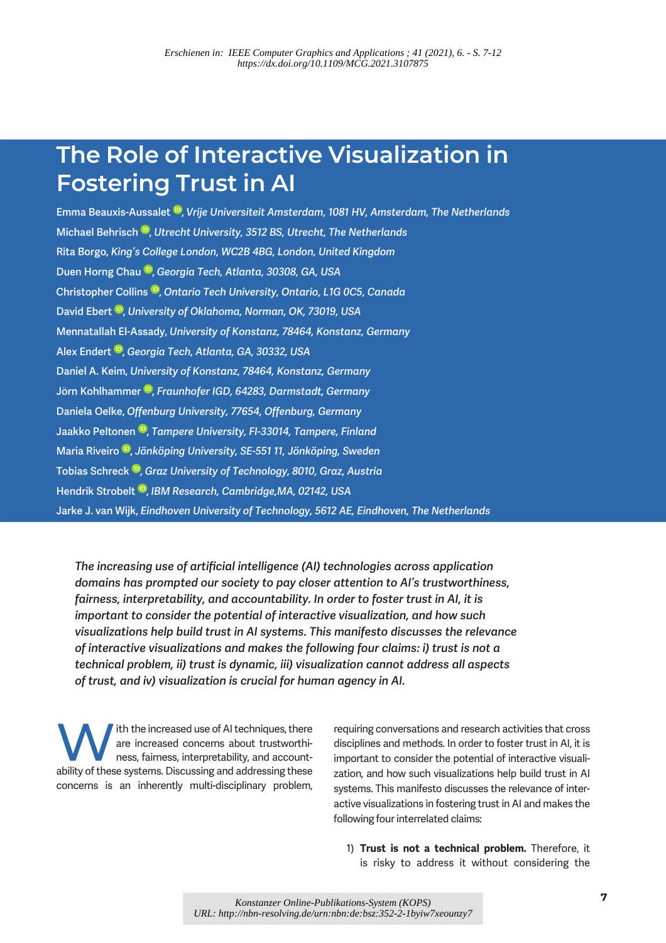# The Role of Interactive Visualization in Fostering Trust in AI

Emma Beauxis-Aussalet <sup>®</sup>, Vrije Universiteit Amsterdam, 1081 HV, Amsterdam, The Netherlands Michael Behrisch  $\mathbb{D}$ , Utrecht University, 3512 BS, Utrecht, The Netherlands Rita Borgo, King's College London, WC2B 4BG, London, United Kingdom Duen Horng Chau <sup>ID</sup>, Georgia Tech, Atlanta, 30308, GA, USA Christopher Collins<sup>10</sup>, Ontario Tech University, Ontario, L1G 0C5, Canada David Ebert <sup>D</sup>, University of Oklahoma, Norman, OK, 73019, USA Mennatallah El-Assady, University of Konstanz, 78464, Konstanz, Germany Alex Endert<sup>D</sup>, Georgia Tech, Atlanta, GA, 30332, USA Daniel A. Keim, University of Konstanz, 78464, Konstanz, Germany Jörn Kohlhammer D, Fraunhofer IGD, 64283, Darmstadt, Germany Daniela Oelke, Offenburg University, 77654, Offenburg, Germany Jaakko Peltonen<sup>®</sup>, Tampere University, FI-33014, Tampere, Finland Maria Riveiro<sup>®</sup>, Jönköping University, SE-551 11, Jönköping, Sweden Tobias Schreck <sup>(D</sup>, Graz University of Technology, 8010, Graz, Austria Hendrik Strobelt <sup>ID</sup>, IBM Research, Cambridge, MA, 02142, USA Jarke J. van Wijk, Eindhoven University of Technology, 5612 AE, Eindhoven, The Netherlands

The increasing use of artificial intelligence (AI) technologies across application domains has prompted our society to pay closer attention to AI's trustworthiness, fairness, interpretability, and accountability. In order to foster trust in AI, it is important to consider the potential of interactive visualization, and how such visualizations help build trust in AI systems. This manifesto discusses the relevance of interactive visualizations and makes the following four claims: i) trust is not a technical problem, ii) trust is dynamic, iii) visualization cannot address all aspects of trust, and iv) visualization is crucial for human agency in AI.

ith the increased use of AI techniques, there are increased concerns about trustworthiness, fairness, interpretability, and accountability of these systems. Discussing and addressing these concerns is an inherently multi-disciplinary problem,

requiring conversations and research activities that cross disciplines and methods. In order to foster trust in AI, it is important to consider the potential of interactive visualization, and how such visualizations help build trust in AI systems. This manifesto discusses the relevance of interactive visualizations in fostering trust in AI and makes the following four interrelated claims:

1) Trust is not a technical problem. Therefore, it is risky to address it without considering the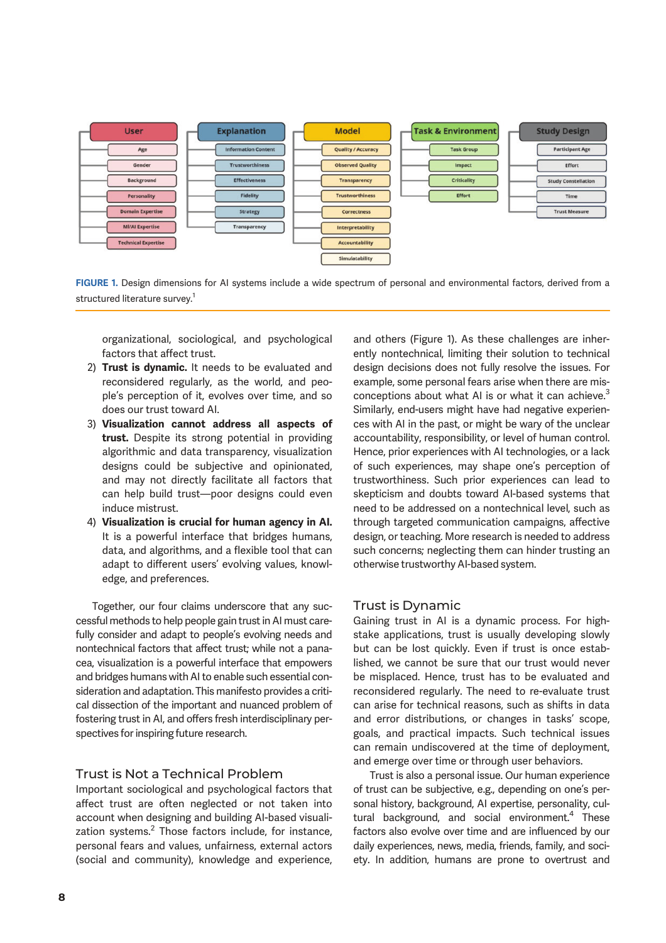

FIGURE 1. Design dimensions for AI systems include a wide spectrum of personal and environmental factors, derived from a structured literature survey.<sup>1</sup>

organizational, sociological, and psychological factors that affect trust.

- 2) Trust is dynamic. It needs to be evaluated and reconsidered regularly, as the world, and people's perception of it, evolves over time, and so does our trust toward AI.
- 3) Visualization cannot address all aspects of trust. Despite its strong potential in providing algorithmic and data transparency, visualization designs could be subjective and opinionated, and may not directly facilitate all factors that can help build trust—poor designs could even induce mistrust.
- 4) Visualization is crucial for human agency in AI. It is a powerful interface that bridges humans, data, and algorithms, and a flexible tool that can adapt to different users' evolving values, knowledge, and preferences.

Together, our four claims underscore that any successful methods to help people gain trust in AI must carefully consider and adapt to people's evolving needs and nontechnical factors that affect trust; while not a panacea, visualization is a powerful interface that empowers and bridges humans with AI to enable such essential consideration and adaptation. This manifesto provides a critical dissection of the important and nuanced problem of fostering trust in AI, and offers fresh interdisciplinary perspectives for inspiring future research.

#### Trust is Not a Technical Problem

Important sociological and psychological factors that affect trust are often neglected or not taken into account when designing and building AI-based visualization systems. $^2$  Those factors include, for instance, personal fears and values, unfairness, external actors (social and community), knowledge and experience,

and others (Figure 1). As these challenges are inherently nontechnical, limiting their solution to technical design decisions does not fully resolve the issues. For example, some personal fears arise when there are misconceptions about what AI is or what it can achieve. $3$ Similarly, end-users might have had negative experiences with AI in the past, or might be wary of the unclear accountability, responsibility, or level of human control. Hence, prior experiences with AI technologies, or a lack of such experiences, may shape one's perception of trustworthiness. Such prior experiences can lead to skepticism and doubts toward AI-based systems that need to be addressed on a nontechnical level, such as through targeted communication campaigns, affective design, or teaching. More research is needed to address such concerns; neglecting them can hinder trusting an otherwise trustworthy AI-based system.

#### Trust is Dynamic

Gaining trust in AI is a dynamic process. For highstake applications, trust is usually developing slowly but can be lost quickly. Even if trust is once established, we cannot be sure that our trust would never be misplaced. Hence, trust has to be evaluated and reconsidered regularly. The need to re-evaluate trust can arise for technical reasons, such as shifts in data and error distributions, or changes in tasks' scope, goals, and practical impacts. Such technical issues can remain undiscovered at the time of deployment, and emerge over time or through user behaviors.

Trust is also a personal issue. Our human experience of trust can be subjective, e.g., depending on one's personal history, background, AI expertise, personality, cultural background, and social environment.<sup>4</sup> These factors also evolve over time and are influenced by our daily experiences, news, media, friends, family, and society. In addition, humans are prone to overtrust and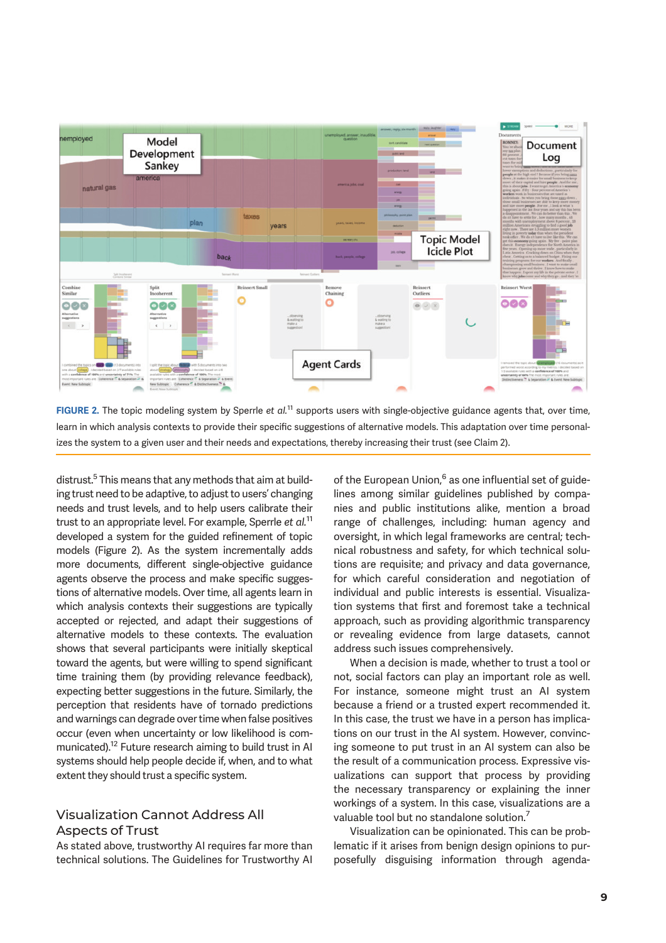

FIGURE 2. The topic modeling system by Sperrle *et al.*<sup>11</sup> supports users with single-objective guidance agents that, over time, learn in which analysis contexts to provide their specific suggestions of alternative models. This adaptation over time personalizes the system to a given user and their needs and expectations, thereby increasing their trust (see Claim 2).

distrust.<sup>5</sup> This means that any methods that aim at building trust need to be adaptive, to adjust to users' changing needs and trust levels, and to help users calibrate their trust to an appropriate level. For example, Sperrle *et al.*<sup>11</sup> developed a system for the guided refinement of topic models (Figure 2). As the system incrementally adds more documents, different single-objective guidance agents observe the process and make specific suggestions of alternative models. Over time, all agents learn in which analysis contexts their suggestions are typically accepted or rejected, and adapt their suggestions of alternative models to these contexts. The evaluation shows that several participants were initially skeptical toward the agents, but were willing to spend significant time training them (by providing relevance feedback), expecting better suggestions in the future. Similarly, the perception that residents have of tornado predictions and warnings can degrade over time when false positives occur (even when uncertainty or low likelihood is communicated).<sup>12</sup> Future research aiming to build trust in AI systems should help people decide if, when, and to what extent they should trust a specific system.

### Visualization Cannot Address All Aspects of Trust

As stated above, trustworthy AI requires far more than technical solutions. The Guidelines for Trustworthy AI

of the European Union,<sup>6</sup> as one influential set of guidelines among similar guidelines published by companies and public institutions alike, mention a broad range of challenges, including: human agency and oversight, in which legal frameworks are central; technical robustness and safety, for which technical solutions are requisite; and privacy and data governance, for which careful consideration and negotiation of individual and public interests is essential. Visualization systems that first and foremost take a technical approach, such as providing algorithmic transparency or revealing evidence from large datasets, cannot address such issues comprehensively.

When a decision is made, whether to trust a tool or not, social factors can play an important role as well. For instance, someone might trust an AI system because a friend or a trusted expert recommended it. In this case, the trust we have in a person has implications on our trust in the AI system. However, convincing someone to put trust in an AI system can also be the result of a communication process. Expressive visualizations can support that process by providing the necessary transparency or explaining the inner workings of a system. In this case, visualizations are a valuable tool but no standalone solution.<sup>7</sup>

Visualization can be opinionated. This can be problematic if it arises from benign design opinions to purposefully disguising information through agenda-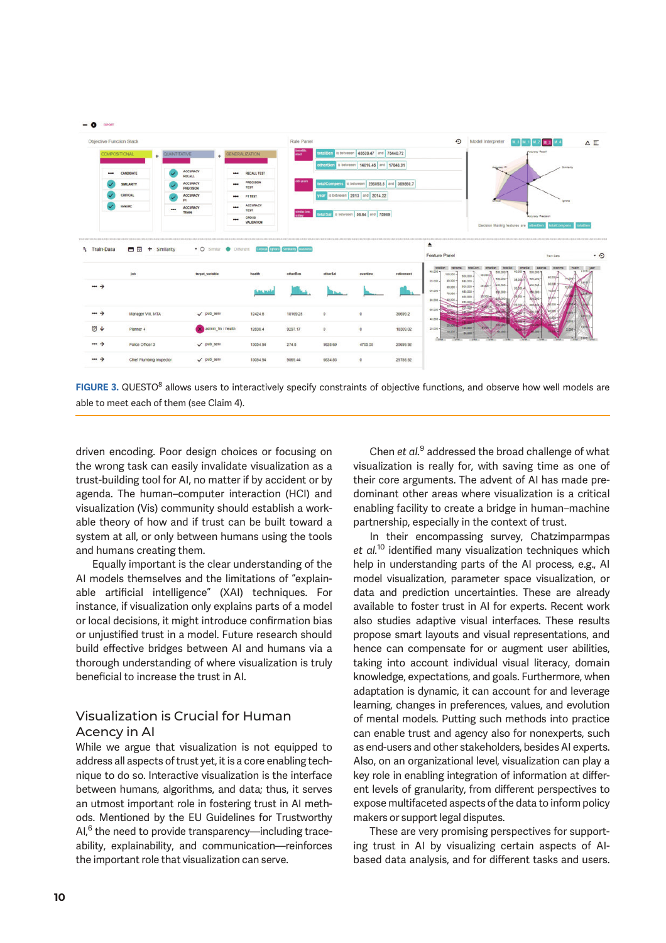



driven encoding. Poor design choices or focusing on the wrong task can easily invalidate visualization as a trust-building tool for AI, no matter if by accident or by agenda. The human–computer interaction (HCI) and visualization (Vis) community should establish a workable theory of how and if trust can be built toward a system at all, or only between humans using the tools and humans creating them.

Equally important is the clear understanding of the AI models themselves and the limitations of "explainable artificial intelligence" (XAI) techniques. For instance, if visualization only explains parts of a model or local decisions, it might introduce confirmation bias or unjustified trust in a model. Future research should build effective bridges between AI and humans via a thorough understanding of where visualization is truly beneficial to increase the trust in AI.

### Visualization is Crucial for Human Acency in AI

While we argue that visualization is not equipped to address all aspects of trust yet, it is a core enabling technique to do so. Interactive visualization is the interface between humans, algorithms, and data; thus, it serves an utmost important role in fostering trust in AI methods. Mentioned by the EU Guidelines for Trustworthy AI,<sup>6</sup> the need to provide transparency—including traceability, explainability, and communication—reinforces the important role that visualization can serve.

Chen *et al.*<sup>9</sup> addressed the broad challenge of what visualization is really for, with saving time as one of their core arguments. The advent of AI has made predominant other areas where visualization is a critical enabling facility to create a bridge in human–machine partnership, especially in the context of trust.

In their encompassing survey, Chatzimparmpas et al.<sup>10</sup> identified many visualization techniques which help in understanding parts of the AI process, e.g., AI model visualization, parameter space visualization, or data and prediction uncertainties. These are already available to foster trust in AI for experts. Recent work also studies adaptive visual interfaces. These results propose smart layouts and visual representations, and hence can compensate for or augment user abilities, taking into account individual visual literacy, domain knowledge, expectations, and goals. Furthermore, when adaptation is dynamic, it can account for and leverage learning, changes in preferences, values, and evolution of mental models. Putting such methods into practice can enable trust and agency also for nonexperts, such as end-users and other stakeholders, besides AI experts. Also, on an organizational level, visualization can play a key role in enabling integration of information at different levels of granularity, from different perspectives to expose multifaceted aspects of the data to inform policy makers or support legal disputes.

These are very promising perspectives for supporting trust in AI by visualizing certain aspects of AIbased data analysis, and for different tasks and users.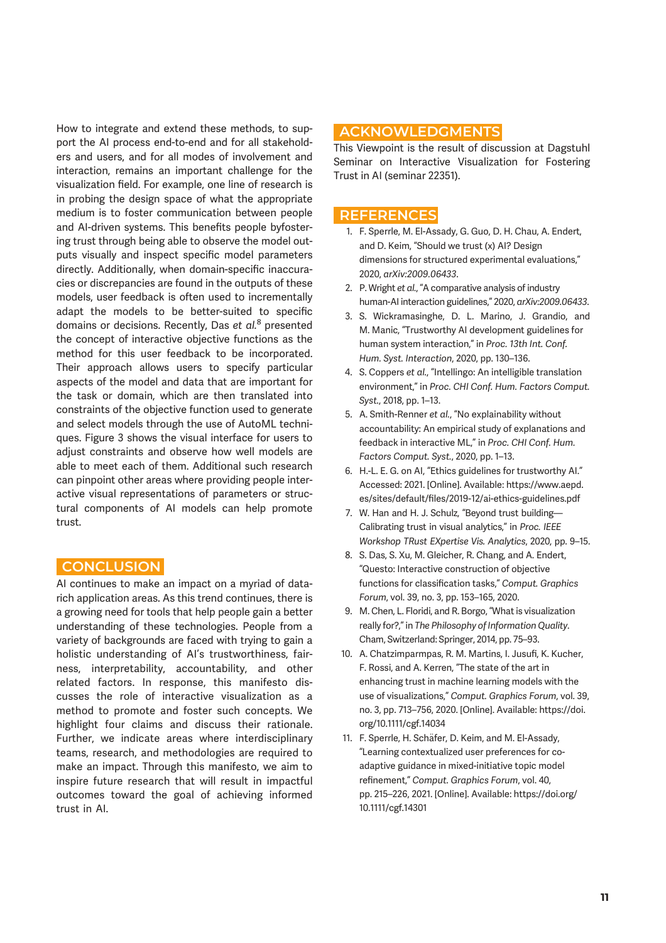How to integrate and extend these methods, to support the AI process end-to-end and for all stakeholders and users, and for all modes of involvement and interaction, remains an important challenge for the visualization field. For example, one line of research is in probing the design space of what the appropriate medium is to foster communication between people and AI-driven systems. This benefits people byfostering trust through being able to observe the model outputs visually and inspect specific model parameters directly. Additionally, when domain-specific inaccuracies or discrepancies are found in the outputs of these models, user feedback is often used to incrementally adapt the models to be better-suited to specific domains or decisions. Recently, Das *et al.*<sup>8</sup> presented the concept of interactive objective functions as the method for this user feedback to be incorporated. Their approach allows users to specify particular aspects of the model and data that are important for the task or domain, which are then translated into constraints of the objective function used to generate and select models through the use of AutoML techniques. Figure 3 shows the visual interface for users to adjust constraints and observe how well models are able to meet each of them. Additional such research can pinpoint other areas where providing people interactive visual representations of parameters or structural components of AI models can help promote trust.

#### **CONCLUSION**

AI continues to make an impact on a myriad of datarich application areas. As this trend continues, there is a growing need for tools that help people gain a better understanding of these technologies. People from a variety of backgrounds are faced with trying to gain a holistic understanding of AI's trustworthiness, fairness, interpretability, accountability, and other related factors. In response, this manifesto discusses the role of interactive visualization as a method to promote and foster such concepts. We highlight four claims and discuss their rationale. Further, we indicate areas where interdisciplinary teams, research, and methodologies are required to make an impact. Through this manifesto, we aim to inspire future research that will result in impactful outcomes toward the goal of achieving informed trust in AI.

## ACKNOWLEDGMENTS

This Viewpoint is the result of discussion at Dagstuhl Seminar on Interactive Visualization for Fostering Trust in AI (seminar 22351).

#### **REFERENCES**

- 1. F. Sperrle, M. El-Assady, G. Guo, D. H. Chau, A. Endert, and D. Keim, "Should we trust (x) AI? Design dimensions for structured experimental evaluations," 2020, *arXiv:2009.06433*.
- 2. P. Wright *et al.*, "A comparative analysis of industry human-AI interaction guidelines," 2020, *arXiv:2009.06433*.
- 3. S. Wickramasinghe, D. L. Marino, J. Grandio, and M. Manic, "Trustworthy AI development guidelines for human system interaction," in *Proc. 13th Int. Conf. Hum. Syst. Interaction*, 2020, pp. 130–136.
- 4. S. Coppers *et al.*, "Intellingo: An intelligible translation environment," in *Proc. CHI Conf. Hum. Factors Comput. Syst.*, 2018, pp. 1–13.
- 5. A. Smith-Renner *et al.*, "No explainability without accountability: An empirical study of explanations and feedback in interactive ML," in *Proc. CHI Conf. Hum. Factors Comput. Syst.*, 2020, pp. 1–13.
- 6. H.-L. E. G. on AI, "Ethics guidelines for trustworthy AI." Accessed: 2021. [Online]. Available: https://www.aepd. es/sites/default/files/2019-12/ai-ethics-guidelines.pdf
- 7. W. Han and H. J. Schulz, "Beyond trust building— Calibrating trust in visual analytics," in *Proc. IEEE Workshop TRust EXpertise Vis. Analytics*, 2020, pp. 9–15.
- 8. S. Das, S. Xu, M. Gleicher, R. Chang, and A. Endert, "Questo: Interactive construction of objective functions for classification tasks," Comput. Graphics *Forum*, vol. 39, no. 3, pp. 153–165, 2020.
- 9. M. Chen, L. Floridi, and R. Borgo, "What is visualization really for?," in *The Philosophy of Information Quality*. Cham, Switzerland: Springer, 2014, pp. 75–93.
- 10. A. Chatzimparmpas, R. M. Martins, I. Jusufi, K. Kucher, F. Rossi, and A. Kerren, "The state of the art in enhancing trust in machine learning models with the use of visualizations," *Comput. Graphics Forum*, vol. 39, no. 3, pp. 713–756, 2020. [Online]. Available: https://doi. org/10.1111/cgf.14034
- 11. F. Sperrle, H. Schäfer, D. Keim, and M. El-Assady, "Learning contextualized user preferences for coadaptive guidance in mixed-initiative topic model refinement," Comput. Graphics Forum, vol. 40, pp. 215–226, 2021. [Online]. Available: https://doi.org/ 10.1111/cgf.14301